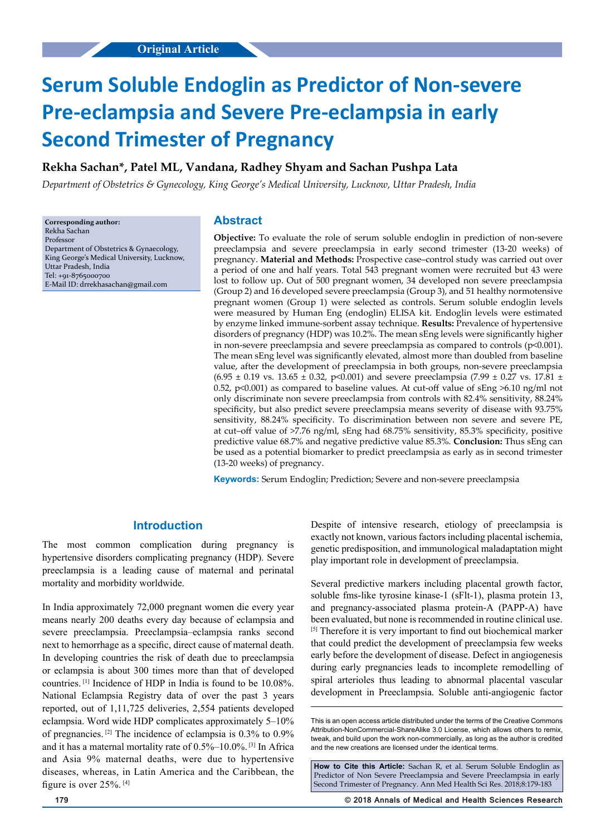# **Serum Soluble Endoglin as Predictor of Non-severe Pre-eclampsia and Severe Pre-eclampsia in early Second Trimester of Pregnancy**

## **Rekha Sachan\*, Patel ML, Vandana, Radhey Shyam and Sachan Pushpa Lata**

*Department of Obstetrics & Gynecology, King George's Medical University, Lucknow, Uttar Pradesh, India*

**Corresponding author:** Rekha Sachan Professor Department of Obstetrics & Gynaecology, King George's Medical University, Lucknow, Uttar Pradesh, India Tel: +91-8765000700 E-Mail ID: drrekhasachan@gmail.com

#### **Abstract**

**Objective:** To evaluate the role of serum soluble endoglin in prediction of non-severe preeclampsia and severe preeclampsia in early second trimester (13-20 weeks) of pregnancy. **Material and Methods:** Prospective case–control study was carried out over a period of one and half years. Total 543 pregnant women were recruited but 43 were lost to follow up. Out of 500 pregnant women, 34 developed non severe preeclampsia (Group 2) and 16 developed severe preeclampsia (Group 3), and 51 healthy normotensive pregnant women (Group 1) were selected as controls. Serum soluble endoglin levels were measured by Human Eng (endoglin) ELISA kit. Endoglin levels were estimated by enzyme linked immune-sorbent assay technique. **Results:** Prevalence of hypertensive disorders of pregnancy (HDP) was 10.2%. The mean sEng levels were significantly higher in non-severe preeclampsia and severe preeclampsia as compared to controls  $(p<0.001)$ . The mean sEng level was significantly elevated, almost more than doubled from baseline value, after the development of preeclampsia in both groups, non-severe preeclampsia  $(6.95 \pm 0.19 \text{ vs. } 13.65 \pm 0.32, \text{ p} < 0.001)$  and severe preeclampsia (7.99  $\pm$  0.27 vs. 17.81  $\pm$ 0.52, p<0.001) as compared to baseline values. At cut-off value of sEng >6.10 ng/ml not only discriminate non severe preeclampsia from controls with 82.4% sensitivity, 88.24% specificity, but also predict severe preeclampsia means severity of disease with 93.75% sensitivity, 88.24% specificity. To discrimination between non severe and severe PE, at cut–off value of >7.76 ng/ml, sEng had 68.75% sensitivity, 85.3% specificity, positive predictive value 68.7% and negative predictive value 85.3%. **Conclusion:** Thus sEng can be used as a potential biomarker to predict preeclampsia as early as in second trimester (13-20 weeks) of pregnancy.

**Keywords:** Serum Endoglin; Prediction; Severe and non-severe preeclampsia

# **Introduction**

The most common complication during pregnancy is hypertensive disorders complicating pregnancy (HDP). Severe preeclampsia is a leading cause of maternal and perinatal mortality and morbidity worldwide.

In India approximately 72,000 pregnant women die every year means nearly 200 deaths every day because of eclampsia and severe preeclampsia. Preeclampsia–eclampsia ranks second next to hemorrhage as a specific, direct cause of maternal death. In developing countries the risk of death due to preeclampsia or eclampsia is about 300 times more than that of developed countries. [1] Incidence of HDP in India is found to be 10.08%. National Eclampsia Registry data of over the past 3 years reported, out of 1,11,725 deliveries, 2,554 patients developed eclampsia. Word wide HDP complicates approximately 5–10% of pregnancies.  $^{[2]}$  The incidence of eclampsia is 0.3% to 0.9% and it has a maternal mortality rate of 0.5%–10.0%. [3] In Africa and Asia 9% maternal deaths, were due to hypertensive diseases, whereas, in Latin America and the Caribbean, the figure is over 25%. [4]

Despite of intensive research, etiology of preeclampsia is exactly not known, various factors including placental ischemia, genetic predisposition, and immunological maladaptation might play important role in development of preeclampsia.

Several predictive markers including placental growth factor, soluble fms-like tyrosine kinase-1 (sFlt-1), plasma protein 13, and pregnancy-associated plasma protein-A (PAPP-A) have been evaluated, but none is recommended in routine clinical use. [5] Therefore it is very important to find out biochemical marker that could predict the development of preeclampsia few weeks early before the development of disease. Defect in angiogenesis during early pregnancies leads to incomplete remodelling of spiral arterioles thus leading to abnormal placental vascular development in Preeclampsia. Soluble anti-angiogenic factor

**How to Cite this Article:** Sachan R, et al. Serum Soluble Endoglin as Predictor of Non Severe Preeclampsia and Severe Preeclampsia in early Second Trimester of Pregnancy. Ann Med Health Sci Res. 2018;8:179-183

**179 © 2018 Annals of Medical and Health Sciences Research** 

This is an open access article distributed under the terms of the Creative Commons Attribution-NonCommercial-ShareAlike 3.0 License, which allows others to remix, tweak, and build upon the work non‑commercially, as long as the author is credited and the new creations are licensed under the identical terms.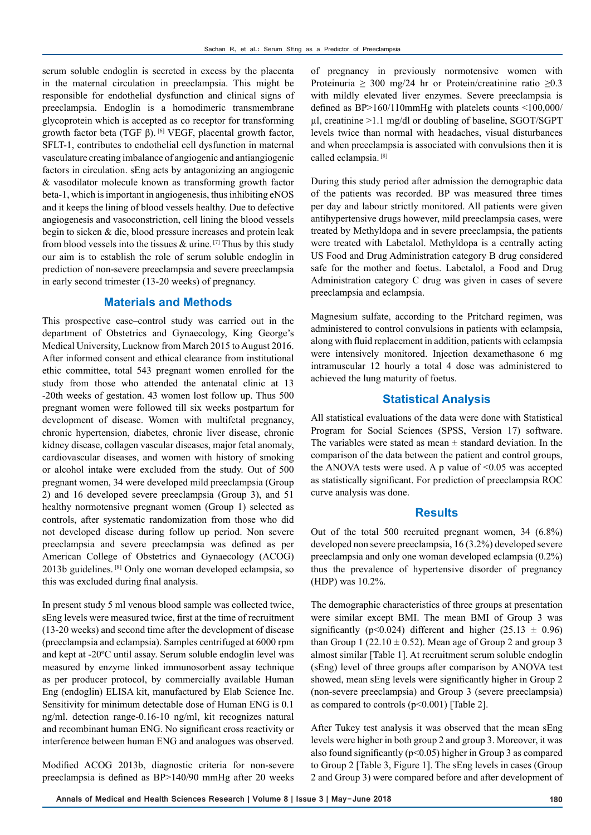serum soluble endoglin is secreted in excess by the placenta in the maternal circulation in preeclampsia. This might be responsible for endothelial dysfunction and clinical signs of preeclampsia. Endoglin is a homodimeric transmembrane glycoprotein which is accepted as co receptor for transforming growth factor beta (TGF β). <sup>[6]</sup> VEGF, placental growth factor, SFLT-1, contributes to endothelial cell dysfunction in maternal vasculature creating imbalance of angiogenic and antiangiogenic factors in circulation. sEng acts by antagonizing an angiogenic & vasodilator molecule known as transforming growth factor beta-1, which is important in angiogenesis, thus inhibiting eNOS and it keeps the lining of blood vessels healthy. Due to defective angiogenesis and vasoconstriction, cell lining the blood vessels begin to sicken & die, blood pressure increases and protein leak from blood vessels into the tissues  $\&$  urine. [7] Thus by this study our aim is to establish the role of serum soluble endoglin in prediction of non-severe preeclampsia and severe preeclampsia in early second trimester (13-20 weeks) of pregnancy.

# **Materials and Methods**

This prospective case–control study was carried out in the department of Obstetrics and Gynaecology, King George's Medical University, Lucknow from March 2015 to August 2016. After informed consent and ethical clearance from institutional ethic committee, total 543 pregnant women enrolled for the study from those who attended the antenatal clinic at 13 -20th weeks of gestation. 43 women lost follow up. Thus 500 pregnant women were followed till six weeks postpartum for development of disease. Women with multifetal pregnancy, chronic hypertension, diabetes, chronic liver disease, chronic kidney disease, collagen vascular diseases, major fetal anomaly, cardiovascular diseases, and women with history of smoking or alcohol intake were excluded from the study. Out of 500 pregnant women, 34 were developed mild preeclampsia (Group 2) and 16 developed severe preeclampsia (Group 3), and 51 healthy normotensive pregnant women (Group 1) selected as controls, after systematic randomization from those who did not developed disease during follow up period. Non severe preeclampsia and severe preeclampsia was defined as per American College of Obstetrics and Gynaecology (ACOG) 2013b guidelines. [8] Only one woman developed eclampsia, so this was excluded during final analysis.

In present study 5 ml venous blood sample was collected twice, sEng levels were measured twice, first at the time of recruitment (13-20 weeks) and second time after the development of disease (preeclampsia and eclampsia). Samples centrifuged at 6000 rpm and kept at -20ºC until assay. Serum soluble endoglin level was measured by enzyme linked immunosorbent assay technique as per producer protocol, by commercially available Human Eng (endoglin) ELISA kit, manufactured by Elab Science Inc. Sensitivity for minimum detectable dose of Human ENG is 0.1 ng/ml. detection range-0.16-10 ng/ml, kit recognizes natural and recombinant human ENG. No significant cross reactivity or interference between human ENG and analogues was observed.

Modified ACOG 2013b, diagnostic criteria for non-severe preeclampsia is defined as BP>140/90 mmHg after 20 weeks

of pregnancy in previously normotensive women with Proteinuria > 300 mg/24 hr or Protein/creatinine ratio > 0.3 with mildly elevated liver enzymes. Severe preeclampsia is defined as BP>160/110mmHg with platelets counts <100,000/ µl, creatinine >1.1 mg/dl or doubling of baseline, SGOT/SGPT levels twice than normal with headaches, visual disturbances and when preeclampsia is associated with convulsions then it is called eclampsia. [8]

During this study period after admission the demographic data of the patients was recorded. BP was measured three times per day and labour strictly monitored. All patients were given antihypertensive drugs however, mild preeclampsia cases, were treated by Methyldopa and in severe preeclampsia, the patients were treated with Labetalol. Methyldopa is a centrally acting US Food and Drug Administration category B drug considered safe for the mother and foetus. Labetalol, a Food and Drug Administration category C drug was given in cases of severe preeclampsia and eclampsia.

Magnesium sulfate, according to the Pritchard regimen, was administered to control convulsions in patients with eclampsia, along with fluid replacement in addition, patients with eclampsia were intensively monitored. Injection dexamethasone 6 mg intramuscular 12 hourly a total 4 dose was administered to achieved the lung maturity of foetus.

## **Statistical Analysis**

All statistical evaluations of the data were done with Statistical Program for Social Sciences (SPSS, Version 17) software. The variables were stated as mean  $\pm$  standard deviation. In the comparison of the data between the patient and control groups, the ANOVA tests were used. A p value of  $\leq 0.05$  was accepted as statistically significant. For prediction of preeclampsia ROC curve analysis was done.

#### **Results**

Out of the total 500 recruited pregnant women, 34 (6.8%) developed non severe preeclampsia, 16 (3.2%) developed severe preeclampsia and only one woman developed eclampsia (0.2%) thus the prevalence of hypertensive disorder of pregnancy (HDP) was 10.2%.

The demographic characteristics of three groups at presentation were similar except BMI. The mean BMI of Group 3 was significantly (p<0.024) different and higher (25.13  $\pm$  0.96) than Group 1 (22.10  $\pm$  0.52). Mean age of Group 2 and group 3 almost similar [Table 1]. At recruitment serum soluble endoglin (sEng) level of three groups after comparison by ANOVA test showed, mean sEng levels were significantly higher in Group 2 (non-severe preeclampsia) and Group 3 (severe preeclampsia) as compared to controls (p<0.001) [Table 2].

After Tukey test analysis it was observed that the mean sEng levels were higher in both group 2 and group 3. Moreover, it was also found significantly ( $p<0.05$ ) higher in Group 3 as compared to Group 2 [Table 3, Figure 1]. The sEng levels in cases (Group 2 and Group 3) were compared before and after development of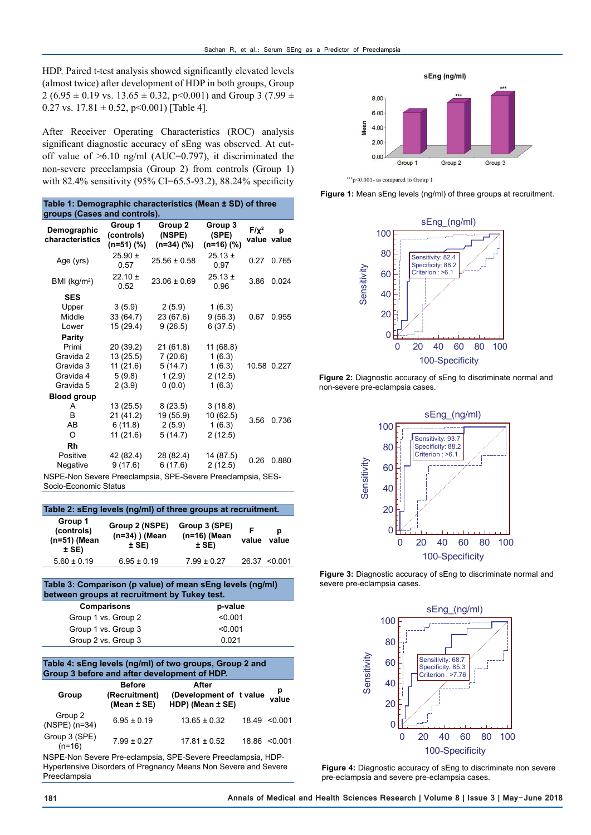HDP. Paired t-test analysis showed significantly elevated levels (almost twice) after development of HDP in both groups, Group 2 (6.95  $\pm$  0.19 vs. 13.65  $\pm$  0.32, p < 0.001) and Group 3 (7.99  $\pm$ 0.27 vs.  $17.81 \pm 0.52$ , p<0.001) [Table 4].

After Receiver Operating Characteristics (ROC) analysis significant diagnostic accuracy of sEng was observed. At cutoff value of  $>6.10$  ng/ml (AUC=0.797), it discriminated the non-severe preeclampsia (Group 2) from controls (Group 1) with 82.4% sensitivity (95% CI=65.5-93.2), 88.24% specificity

**Table 1: Demographic characteristics (Mean ± SD) of three** 

| $1800$ T. Demographic characteristics (mean $\pm$ 0D) or unce<br>groups (Cases and controls). |                                     |                                      |                                  |            |                  |  |  |  |
|-----------------------------------------------------------------------------------------------|-------------------------------------|--------------------------------------|----------------------------------|------------|------------------|--|--|--|
| Demographic<br>characteristics                                                                | Group 1<br>(controls)<br>$(n=51)(%$ | Group 2<br>(NSPE)<br>$(n=34)$ $(\%)$ | Group 3<br>(SPE)<br>$(n=16)$ (%) | $F/\chi^2$ | p<br>value value |  |  |  |
| Age (yrs)                                                                                     | $25.90 \pm$<br>0.57                 | $25.56 \pm 0.58$                     | $25.13 \pm$<br>0.97              | 0.27       | 0.765            |  |  |  |
| BMI (kg/m <sup>2</sup> )                                                                      | $22.10 \pm$<br>0.52                 | $23.06 \pm 0.69$                     | $25.13 \pm$<br>0.96              | 3.86       | 0.024            |  |  |  |
| <b>SES</b>                                                                                    |                                     |                                      |                                  |            |                  |  |  |  |
| Upper                                                                                         | 3(5.9)                              | 2(5.9)                               | 1(6.3)                           |            |                  |  |  |  |
| Middle                                                                                        | 33 (64.7)                           | 23 (67.6)                            | 9(56.3)                          | 0.67       | 0.955            |  |  |  |
| Lower                                                                                         | 15 (29.4)                           | 9(26.5)                              | 6(37.5)                          |            |                  |  |  |  |
| Parity                                                                                        |                                     |                                      |                                  |            |                  |  |  |  |
| Primi                                                                                         | 20 (39.2)                           | 21(61.8)                             | 11(68.8)                         |            |                  |  |  |  |
| Gravida 2                                                                                     | 13(25.5)                            | 7(20.6)                              | 1(6.3)                           |            |                  |  |  |  |
| Gravida 3                                                                                     | 11(21.6)                            | 5(14.7)                              | 1(6.3)                           |            | 10.58 0.227      |  |  |  |
| Gravida 4                                                                                     | 5(9.8)                              | 1(2.9)                               | 2(12.5)                          |            |                  |  |  |  |
| Gravida 5                                                                                     | 2(3.9)                              | 0(0.0)                               | 1(6.3)                           |            |                  |  |  |  |
| <b>Blood group</b>                                                                            |                                     |                                      |                                  |            |                  |  |  |  |
| A                                                                                             | 13(25.5)                            | 8(23.5)                              | 3(18.8)                          |            |                  |  |  |  |
| B                                                                                             | 21 (41.2)                           | 19 (55.9)                            | 10(62.5)                         | 3.56       | 0.736            |  |  |  |
| AB                                                                                            | 6(11.8)                             | 2(5.9)                               | 1(6.3)                           |            |                  |  |  |  |
| O                                                                                             | 11(21.6)                            | 5(14.7)                              | 2(12.5)                          |            |                  |  |  |  |
| Rh                                                                                            |                                     |                                      |                                  |            |                  |  |  |  |
| Positive                                                                                      | 42 (82.4)                           | 28 (82.4)                            | 14 (87.5)                        | 0.26       | 0.880            |  |  |  |
| Negative                                                                                      | 9(17.6)                             | 6(17.6)                              | 2(12.5)                          |            |                  |  |  |  |

NSPE-Non Severe Preeclampsia, SPE-Severe Preeclampsia, SES-Socio-Economic Status

| Table 2: sEng levels (ng/ml) of three groups at recruitment. |                                               |                                            |            |                   |  |  |  |  |
|--------------------------------------------------------------|-----------------------------------------------|--------------------------------------------|------------|-------------------|--|--|--|--|
| Group 1<br>(controls)<br>(n=51) (Mean<br>$±$ SE)             | Group 2 (NSPE)<br>$(n=34)$ ) (Mean<br>$±$ SE) | Group 3 (SPE)<br>$(n=16)$ (Mean<br>$±$ SE) | F<br>value | D<br>value        |  |  |  |  |
| $5.60 \pm 0.19$                                              | $6.95 \pm 0.19$                               | $7.99 \pm 0.27$                            |            | $26.37 \le 0.001$ |  |  |  |  |

#### **Table 3: Comparison (p value) of mean sEng levels (ng/ml) between groups at recruitment by Tukey test. Comparisons p-value** Group 1 vs. Group 2 <0.001 Group 1 vs. Group 3 <0.001

#### **Table 4: sEng levels (ng/ml) of two groups, Group 2 and Group 3 before and after development of HDP.**

Group 2 vs. Group 3 0.021

| Group                      | <b>Before</b><br>(Recruitment)<br>(Mean ± SE) | After<br>(Development of t value<br>HDP) (Mean ± SE) |       | p<br>value |
|----------------------------|-----------------------------------------------|------------------------------------------------------|-------|------------|
| Group 2<br>$(NSPE)$ (n=34) | $6.95 \pm 0.19$                               | $13.65 \pm 0.32$                                     | 18.49 | <0.001     |
| Group 3 (SPE)<br>$(n=16)$  | $7.99 \pm 0.27$                               | $17.81 \pm 0.52$                                     | 18.86 | < 0.001    |

NSPE-Non Severe Pre-eclampsia, SPE-Severe Preeclampsia, HDP-Hypertensive Disorders of Pregnancy Means Non Severe and Severe Preeclampsia



\*\*\* p<0.001- as compared to Group 1





**Figure 2:** Diagnostic accuracy of sEng to discriminate normal and non-severe pre-eclampsia cases.



**Figure 3:** Diagnostic accuracy of sEng to discriminate normal and severe pre-eclampsia cases.



**Figure 4:** Diagnostic accuracy of sEng to discriminate non severe pre-eclampsia and severe pre-eclampsia cases.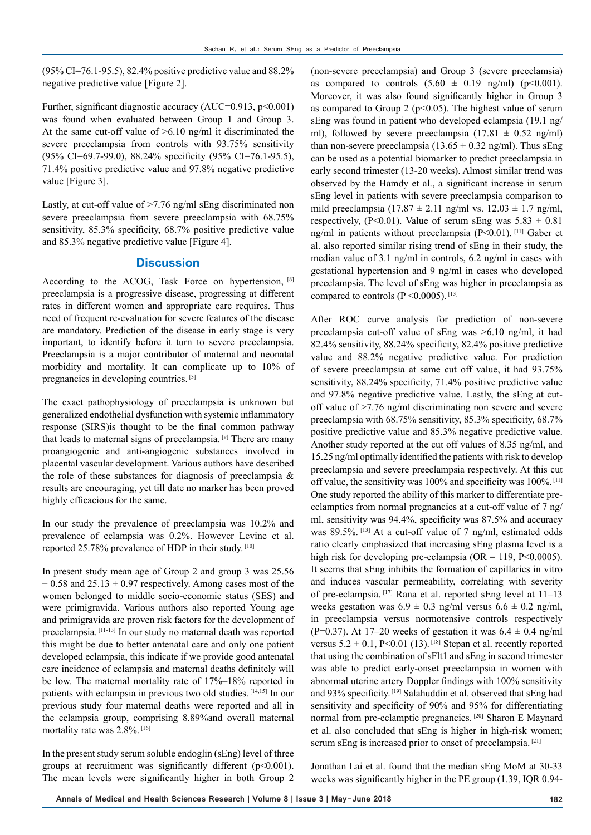(95% CI=76.1-95.5), 82.4% positive predictive value and 88.2% negative predictive value [Figure 2].

Further, significant diagnostic accuracy (AUC=0.913, p<0.001) was found when evaluated between Group 1 and Group 3. At the same cut-off value of >6.10 ng/ml it discriminated the severe preeclampsia from controls with 93.75% sensitivity (95% CI=69.7-99.0), 88.24% specificity (95% CI=76.1-95.5), 71.4% positive predictive value and 97.8% negative predictive value [Figure 3].

Lastly, at cut-off value of >7.76 ng/ml sEng discriminated non severe preeclampsia from severe preeclampsia with 68.75% sensitivity, 85.3% specificity, 68.7% positive predictive value and 85.3% negative predictive value [Figure 4].

## **Discussion**

According to the ACOG, Task Force on hypertension, <sup>[8]</sup> preeclampsia is a progressive disease, progressing at different rates in different women and appropriate care requires. Thus need of frequent re-evaluation for severe features of the disease are mandatory. Prediction of the disease in early stage is very important, to identify before it turn to severe preeclampsia. Preeclampsia is a major contributor of maternal and neonatal morbidity and mortality. It can complicate up to 10% of pregnancies in developing countries. [3]

The exact pathophysiology of preeclampsia is unknown but generalized endothelial dysfunction with systemic inflammatory response (SIRS)is thought to be the final common pathway that leads to maternal signs of preeclampsia. [9] There are many proangiogenic and anti-angiogenic substances involved in placental vascular development. Various authors have described the role of these substances for diagnosis of preeclampsia & results are encouraging, yet till date no marker has been proved highly efficacious for the same.

In our study the prevalence of preeclampsia was 10.2% and prevalence of eclampsia was 0.2%. However Levine et al. reported 25.78% prevalence of HDP in their study. [10]

In present study mean age of Group 2 and group 3 was 25.56  $\pm$  0.58 and 25.13  $\pm$  0.97 respectively. Among cases most of the women belonged to middle socio-economic status (SES) and were primigravida. Various authors also reported Young age and primigravida are proven risk factors for the development of preeclampsia. [11-13] In our study no maternal death was reported this might be due to better antenatal care and only one patient developed eclampsia, this indicate if we provide good antenatal care incidence of eclampsia and maternal deaths definitely will be low. The maternal mortality rate of 17%–18% reported in patients with eclampsia in previous two old studies. [14,15] In our previous study four maternal deaths were reported and all in the eclampsia group, comprising 8.89%and overall maternal mortality rate was 2.8%. [16]

In the present study serum soluble endoglin (sEng) level of three groups at recruitment was significantly different (p<0.001). The mean levels were significantly higher in both Group 2

(non-severe preeclampsia) and Group 3 (severe preeclamsia) as compared to controls  $(5.60 \pm 0.19 \text{ ng/ml})$   $(\text{p} < 0.001)$ . Moreover, it was also found significantly higher in Group 3 as compared to Group 2 ( $p<0.05$ ). The highest value of serum sEng was found in patient who developed eclampsia (19.1 ng/ ml), followed by severe preeclampsia  $(17.81 \pm 0.52 \text{ ng/ml})$ than non-severe preeclampsia (13.65  $\pm$  0.32 ng/ml). Thus sEng can be used as a potential biomarker to predict preeclampsia in early second trimester (13-20 weeks). Almost similar trend was observed by the Hamdy et al., a significant increase in serum sEng level in patients with severe preeclampsia comparison to mild preeclampsia (17.87  $\pm$  2.11 ng/ml vs. 12.03  $\pm$  1.7 ng/ml, respectively, (P<0.01). Value of serum sEng was  $5.83 \pm 0.81$ ng/ml in patients without preeclampsia (P<0.01). [11] Gaber et al. also reported similar rising trend of sEng in their study, the median value of 3.1 ng/ml in controls, 6.2 ng/ml in cases with gestational hypertension and 9 ng/ml in cases who developed preeclampsia. The level of sEng was higher in preeclampsia as compared to controls  $(P \le 0.0005)$ . [13]

After ROC curve analysis for prediction of non-severe preeclampsia cut-off value of sEng was >6.10 ng/ml, it had 82.4% sensitivity, 88.24% specificity, 82.4% positive predictive value and 88.2% negative predictive value. For prediction of severe preeclampsia at same cut off value, it had 93.75% sensitivity, 88.24% specificity, 71.4% positive predictive value and 97.8% negative predictive value. Lastly, the sEng at cutoff value of >7.76 ng/ml discriminating non severe and severe preeclampsia with 68.75% sensitivity, 85.3% specificity, 68.7% positive predictive value and 85.3% negative predictive value. Another study reported at the cut off values of 8.35 ng/ml, and 15.25 ng/ml optimally identified the patients with risk to develop preeclampsia and severe preeclampsia respectively. At this cut off value, the sensitivity was 100% and specificity was 100%. [11] One study reported the ability of this marker to differentiate preeclamptics from normal pregnancies at a cut-off value of 7 ng/ ml, sensitivity was 94.4%, specificity was 87.5% and accuracy was 89.5%. [13] At a cut-off value of 7 ng/ml, estimated odds ratio clearly emphasized that increasing sEng plasma level is a high risk for developing pre-eclampsia (OR = 119,  $P \le 0.0005$ ). It seems that sEng inhibits the formation of capillaries in vitro and induces vascular permeability, correlating with severity of pre-eclampsia. [17] Rana et al. reported sEng level at 11–13 weeks gestation was  $6.9 \pm 0.3$  ng/ml versus  $6.6 \pm 0.2$  ng/ml, in preeclampsia versus normotensive controls respectively (P=0.37). At 17–20 weeks of gestation it was  $6.4 \pm 0.4$  ng/ml versus  $5.2 \pm 0.1$ , P<0.01 (13). <sup>[18]</sup> Stepan et al. recently reported that using the combination of sFlt1 and sEng in second trimester was able to predict early-onset preeclampsia in women with abnormal uterine artery Doppler findings with 100% sensitivity and 93% specificity. [19] Salahuddin et al. observed that sEng had sensitivity and specificity of 90% and 95% for differentiating normal from pre-eclamptic pregnancies. [20] Sharon E Maynard et al. also concluded that sEng is higher in high-risk women; serum sEng is increased prior to onset of preeclampsia.<sup>[21]</sup>

Jonathan Lai et al. found that the median sEng MoM at 30-33 weeks was significantly higher in the PE group (1.39, IQR 0.94